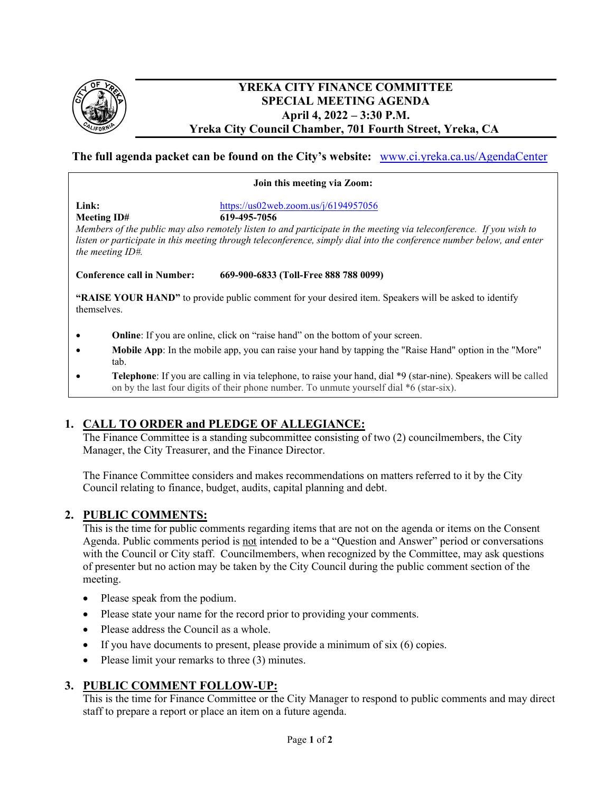

### **YREKA CITY FINANCE COMMITTEE SPECIAL MEETING AGENDA April 4, 2022 – 3:30 P.M. Yreka City Council Chamber, 701 Fourth Street, Yreka, CA**

# **The full agenda packet can be found on the City's website:** [www.ci.yreka.ca.us/AgendaCenter](http://www.ci.yreka.ca.us/AgendaCenter)

#### **Join this meeting via Zoom:**

**Meeting ID# 619-495-7056** 

**Link:** <https://us02web.zoom.us/j/6194957056>

*Members of the public may also remotely listen to and participate in the meeting via teleconference. If you wish to listen or participate in this meeting through teleconference, simply dial into the conference number below, and enter the meeting ID#.*

**Conference call in Number: 669-900-6833 (Toll-Free 888 788 0099)** 

**"RAISE YOUR HAND"** to provide public comment for your desired item. Speakers will be asked to identify themselves.

- **Online**: If you are online, click on "raise hand" on the bottom of your screen.
- **Mobile App**: In the mobile app, you can raise your hand by tapping the "Raise Hand" option in the "More" tab.
- **Telephone**: If you are calling in via telephone, to raise your hand, dial \*9 (star-nine). Speakers will be called on by the last four digits of their phone number. To unmute yourself dial \*6 (star-six).

# **1. CALL TO ORDER and PLEDGE OF ALLEGIANCE:**

The Finance Committee is a standing subcommittee consisting of two (2) councilmembers, the City Manager, the City Treasurer, and the Finance Director.

The Finance Committee considers and makes recommendations on matters referred to it by the City Council relating to finance, budget, audits, capital planning and debt.

#### **2. PUBLIC COMMENTS:**

This is the time for public comments regarding items that are not on the agenda or items on the Consent Agenda. Public comments period is not intended to be a "Question and Answer" period or conversations with the Council or City staff. Councilmembers, when recognized by the Committee, may ask questions of presenter but no action may be taken by the City Council during the public comment section of the meeting.

- Please speak from the podium.
- Please state your name for the record prior to providing your comments.
- Please address the Council as a whole.
- If you have documents to present, please provide a minimum of  $\sin(6)$  copies.
- Please limit your remarks to three (3) minutes.

#### **3. PUBLIC COMMENT FOLLOW-UP:**

This is the time for Finance Committee or the City Manager to respond to public comments and may direct staff to prepare a report or place an item on a future agenda.